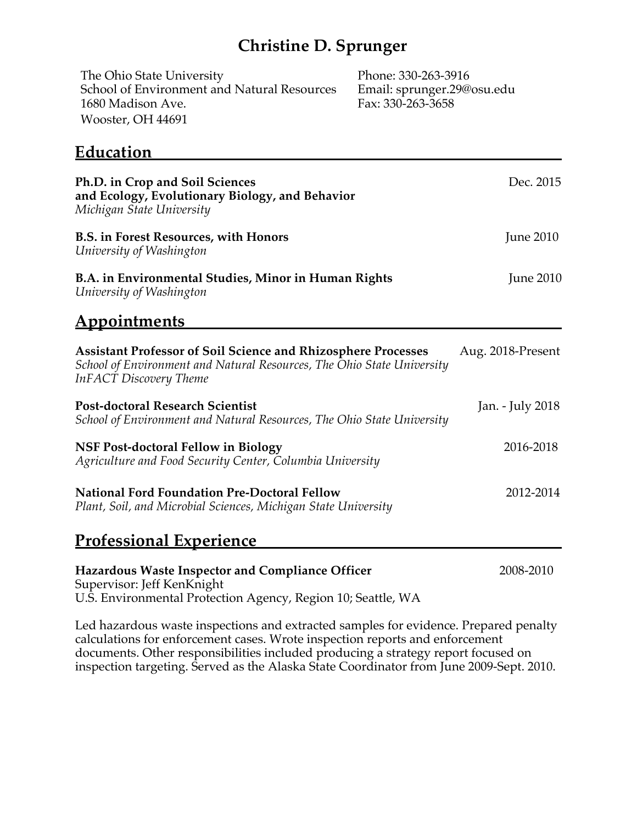## **Christine D. Sprunger**

| The Ohio State University                   | Phone: 330-263-3916 |
|---------------------------------------------|---------------------|
| School of Environment and Natural Resources | Email: sprunger.29@ |
| 1680 Madison Ave.                           | Fax: 330-263-3658   |
| Wooster, OH 44691                           |                     |

nger 29@osu.edu<br>3-3658

## **Education**

| Ph.D. in Crop and Soil Sciences<br>and Ecology, Evolutionary Biology, and Behavior<br>Michigan State University                                                                 | Dec. 2015         |
|---------------------------------------------------------------------------------------------------------------------------------------------------------------------------------|-------------------|
| <b>B.S. in Forest Resources, with Honors</b><br>University of Washington                                                                                                        | <b>June 2010</b>  |
| B.A. in Environmental Studies, Minor in Human Rights<br>University of Washington                                                                                                | <b>June 2010</b>  |
| <b>Appointments</b>                                                                                                                                                             |                   |
| <b>Assistant Professor of Soil Science and Rhizosphere Processes</b><br>School of Environment and Natural Resources, The Ohio State University<br><b>InFACT</b> Discovery Theme | Aug. 2018-Present |
| <b>Post-doctoral Research Scientist</b><br>School of Environment and Natural Resources, The Ohio State University                                                               | Jan. - July 2018  |
| <b>NSF Post-doctoral Fellow in Biology</b><br>Agriculture and Food Security Center, Columbia University                                                                         | 2016-2018         |
| <b>National Ford Foundation Pre-Doctoral Fellow</b><br>Plant, Soil, and Microbial Sciences, Michigan State University                                                           | 2012-2014         |
| <b>Professional Experience</b>                                                                                                                                                  |                   |
| <b>Hazardous Waste Inspector and Compliance Officer</b><br>Supervisor: Jeff KenKnight<br>U.S. Environmental Protection Agency, Region 10; Seattle, WA                           | 2008-2010         |
| Led hazardous waste inspections and extracted samples for evidence. Prepared penalty                                                                                            |                   |

Led hazardous waste inspections and extracted samples for evidence. Prepared penalty calculations for enforcement cases. Wrote inspection reports and enforcement documents. Other responsibilities included producing a strategy report focused on inspection targeting. Served as the Alaska State Coordinator from June 2009-Sept. 2010.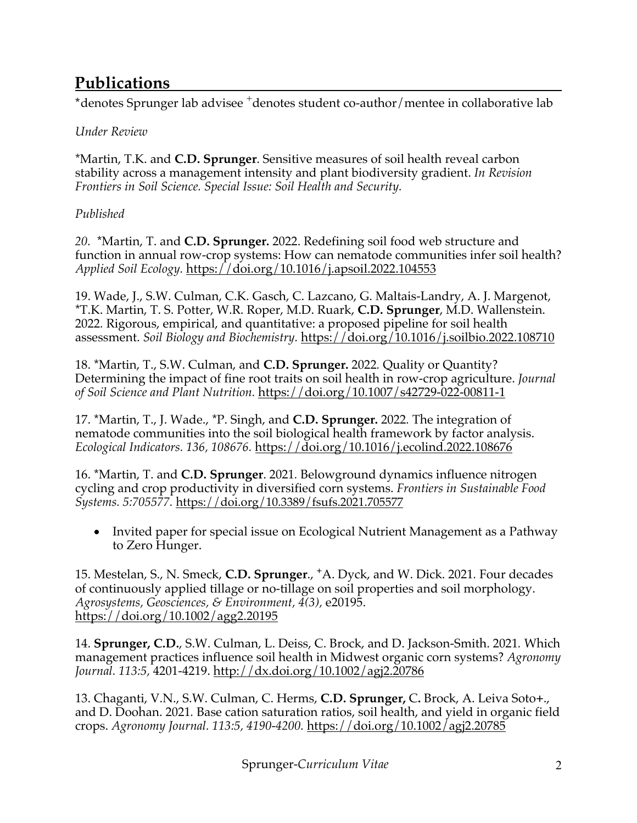## **Publications**

\*denotes Sprunger lab advisee <sup>+</sup>denotes student co-author/mentee in collaborative lab

#### *Under Review*

\*Martin, T.K. and **C.D. Sprunger**. Sensitive measures of soil health reveal carbon stability across a management intensity and plant biodiversity gradient. *In Revision Frontiers in Soil Science. Special Issue: Soil Health and Security.* 

#### *Published*

*20.* \*Martin, T. and **C.D. Sprunger.** 2022. Redefining soil food web structure and function in annual row-crop systems: How can nematode communities infer soil health? *Applied Soil Ecology.* https://doi.org/10.1016/j.apsoil.2022.104553

19. Wade, J., S.W. Culman, C.K. Gasch, C. Lazcano, G. Maltais-Landry, A. J. Margenot, \*T.K. Martin, T. S. Potter, W.R. Roper, M.D. Ruark, **C.D. Sprunger**, M.D. Wallenstein. 2022*.* Rigorous, empirical, and quantitative: a proposed pipeline for soil health assessment. *Soil Biology and Biochemistry.* https://doi.org/10.1016/j.soilbio.2022.108710

18. \*Martin, T., S.W. Culman, and **C.D. Sprunger.** 2022*.* Quality or Quantity? Determining the impact of fine root traits on soil health in row-crop agriculture. *Journal of Soil Science and Plant Nutrition.* https://doi.org/10.1007/s42729-022-00811-1

17. \*Martin, T., J. Wade., \*P. Singh, and **C.D. Sprunger.** 2022*.* The integration of nematode communities into the soil biological health framework by factor analysis. *Ecological Indicators. 136, 108676.* https://doi.org/10.1016/j.ecolind.2022.108676

16. \*Martin, T. and **C.D. Sprunger**. 2021*.* Belowground dynamics influence nitrogen cycling and crop productivity in diversified corn systems. *Frontiers in Sustainable Food Systems. 5:705577.* https://doi.org/10.3389/fsufs.2021.705577

• Invited paper for special issue on Ecological Nutrient Management as a Pathway to Zero Hunger.

15. Mestelan, S., N. Smeck, **C.D. Sprunger**., **+**A. Dyck, and W. Dick. 2021*.* Four decades of continuously applied tillage or no-tillage on soil properties and soil morphology. *Agrosystems, Geosciences, & Environment, 4(3),* e20195. https://doi.org/10.1002/agg2.20195

14. **Sprunger, C.D.**, S.W. Culman, L. Deiss, C. Brock, and D. Jackson-Smith. 2021*.* Which management practices influence soil health in Midwest organic corn systems? *Agronomy Journal. 113:5,* 4201-4219. http://dx.doi.org/10.1002/agj2.20786

13. Chaganti, V.N., S.W. Culman, C. Herms, **C.D. Sprunger,** C**.** Brock, A. Leiva Soto**+**., and D. Doohan. 2021*.* Base cation saturation ratios, soil health, and yield in organic field crops. *Agronomy Journal. 113:5, 4190-4200.* https://doi.org/10.1002/agj2.20785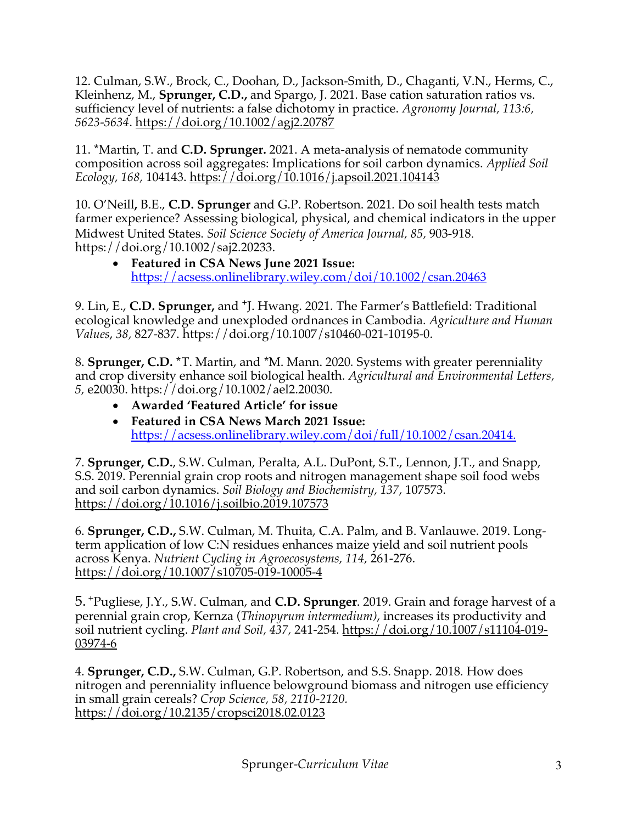12. Culman, S.W., Brock, C., Doohan, D., Jackson-Smith, D., Chaganti, V.N., Herms, C., Kleinhenz, M., **Sprunger, C.D.,** and Spargo, J. 2021*.* Base cation saturation ratios vs. sufficiency level of nutrients: a false dichotomy in practice. *Agronomy Journal, 113:6, 5623-5634*. https://doi.org/10.1002/agj2.20787

11. \*Martin, T. and **C.D. Sprunger.** 2021. A meta-analysis of nematode community composition across soil aggregates: Implications for soil carbon dynamics. *Applied Soil Ecology, 168,* 104143. https://doi.org/10.1016/j.apsoil.2021.104143

10. O'Neill**,** B.E., **C.D. Sprunger** and G.P. Robertson. 2021*.* Do soil health tests match farmer experience? Assessing biological, physical, and chemical indicators in the upper Midwest United States. *Soil Science Society of America Journal, 85,* 903-918. https://doi.org/10.1002/saj2.20233.

• **Featured in CSA News June 2021 Issue:** https://acsess.onlinelibrary.wiley.com/doi/10.1002/csan.20463

9. Lin, E., **C.D. Sprunger,** and **<sup>+</sup>**J. Hwang. 2021*.* The Farmer's Battlefield: Traditional ecological knowledge and unexploded ordnances in Cambodia. *Agriculture and Human Values*, *38,* 827-837. https://doi.org/10.1007/s10460-021-10195-0.

8. **Sprunger, C.D. \***T. Martin, and \*M. Mann. 2020*.* Systems with greater perenniality and crop diversity enhance soil biological health. *Agricultural and Environmental Letters, 5,* e20030. https://doi.org/10.1002/ael2.20030.

- **Awarded 'Featured Article' for issue**
- **Featured in CSA News March 2021 Issue:** https://acsess.onlinelibrary.wiley.com/doi/full/10.1002/csan.20414.

7. **Sprunger, C.D.**, S.W. Culman, Peralta, A.L. DuPont, S.T., Lennon, J.T., and Snapp, S.S. 2019. Perennial grain crop roots and nitrogen management shape soil food webs and soil carbon dynamics. *Soil Biology and Biochemistry, 137*, 107573. https://doi.org/10.1016/j.soilbio.2019.107573

6. **Sprunger, C.D.,** S.W. Culman, M. Thuita, C.A. Palm, and B. Vanlauwe. 2019. Longterm application of low C:N residues enhances maize yield and soil nutrient pools across Kenya. *Nutrient Cycling in Agroecosystems, 114,* 261-276. https://doi.org/10.1007/s10705-019-10005-4

5. **<sup>+</sup>**Pugliese, J.Y., S.W. Culman, and **C.D. Sprunger**. 2019. Grain and forage harvest of a perennial grain crop, Kernza (*Thinopyrum intermedium)*, increases its productivity and soil nutrient cycling. *Plant and Soil, 437,* 241-254. https://doi.org/10.1007/s11104-019- 03974-6

4. **Sprunger, C.D.,** S.W. Culman, G.P. Robertson, and S.S. Snapp. 2018*.* How does nitrogen and perenniality influence belowground biomass and nitrogen use efficiency in small grain cereals? *Crop Science, 58, 2110-2120.* https://doi.org/10.2135/cropsci2018.02.0123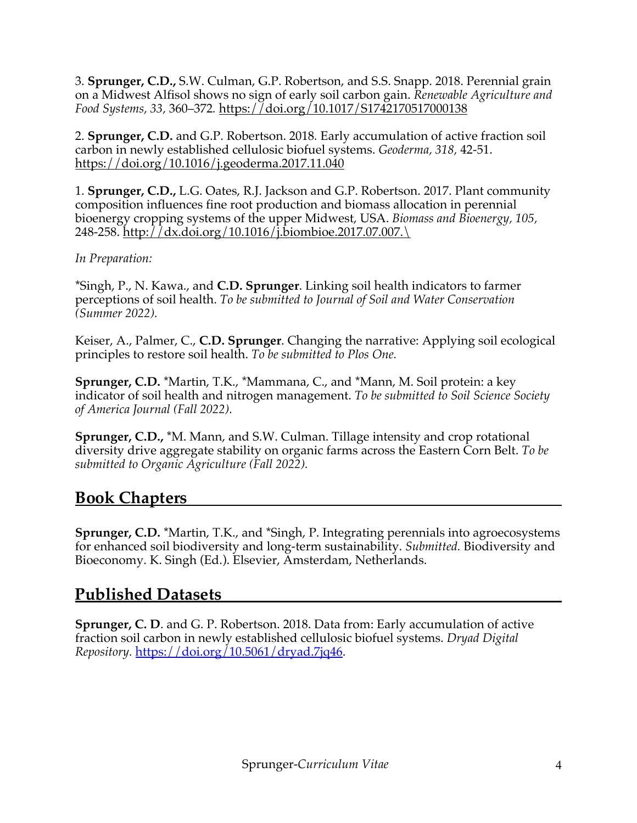3. **Sprunger, C.D.,** S.W. Culman, G.P. Robertson, and S.S. Snapp. 2018. Perennial grain on a Midwest Alfisol shows no sign of early soil carbon gain. *Renewable Agriculture and Food Systems,* 33, 360–372. https://doi.org/10.1017/S1742170517000138

2. **Sprunger, C.D.** and G.P. Robertson. 2018*.* Early accumulation of active fraction soil carbon in newly established cellulosic biofuel systems. *Geoderma, 318,* 42-51. https://doi.org/10.1016/j.geoderma.2017.11.040

1. **Sprunger, C.D.,** L.G. Oates, R.J. Jackson and G.P. Robertson. 2017. Plant community composition influences fine root production and biomass allocation in perennial bioenergy cropping systems of the upper Midwest, USA. *Biomass and Bioenergy, 105,*  248-258. http://dx.doi.org/10.1016/j.biombioe.2017.07.007.\

#### *In Preparation:*

\*Singh, P., N. Kawa., and **C.D. Sprunger**. Linking soil health indicators to farmer perceptions of soil health. *To be submitted to Journal of Soil and Water Conservation (Summer 2022).* 

Keiser, A., Palmer, C., **C.D. Sprunger**. Changing the narrative: Applying soil ecological principles to restore soil health. *To be submitted to Plos One.* 

**Sprunger, C.D.** \*Martin, T.K., \*Mammana, C., and \*Mann, M. Soil protein: a key indicator of soil health and nitrogen management. *To be submitted to Soil Science Society of America Journal (Fall 2022).*

**Sprunger, C.D.,** \*M. Mann, and S.W. Culman. Tillage intensity and crop rotational diversity drive aggregate stability on organic farms across the Eastern Corn Belt. *To be submitted to Organic Agriculture (Fall 2022).* 

### **Book Chapters**

**Sprunger, C.D.** \*Martin, T.K., and \*Singh, P. Integrating perennials into agroecosystems for enhanced soil biodiversity and long-term sustainability. *Submitted.* Biodiversity and Bioeconomy. K. Singh (Ed.). Elsevier, Amsterdam, Netherlands.

### **Published Datasets**

**Sprunger, C. D**. and G. P. Robertson. 2018. Data from: Early accumulation of active fraction soil carbon in newly established cellulosic biofuel systems. *Dryad Digital Repository.* https://doi.org/10.5061/dryad.7jq46.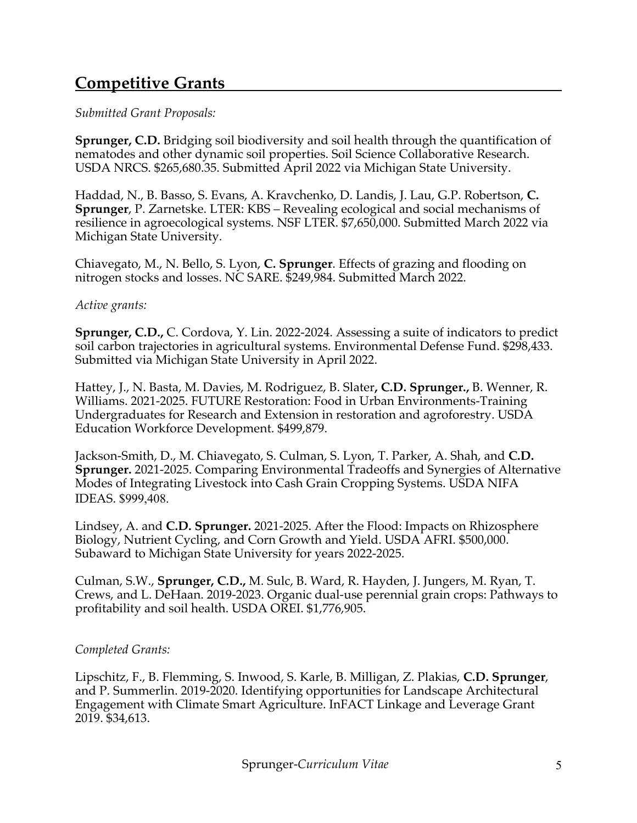## **Competitive Grants**

#### *Submitted Grant Proposals:*

**Sprunger, C.D.** Bridging soil biodiversity and soil health through the quantification of nematodes and other dynamic soil properties. Soil Science Collaborative Research. USDA NRCS. \$265,680.35. Submitted April 2022 via Michigan State University.

Haddad, N., B. Basso, S. Evans, A. Kravchenko, D. Landis, J. Lau, G.P. Robertson, **C. Sprunger**, P. Zarnetske. LTER: KBS – Revealing ecological and social mechanisms of resilience in agroecological systems. NSF LTER. \$7,650,000. Submitted March 2022 via Michigan State University.

Chiavegato, M., N. Bello, S. Lyon, **C. Sprunger**. Effects of grazing and flooding on nitrogen stocks and losses. NC SARE. \$249,984. Submitted March 2022.

#### *Active grants:*

**Sprunger, C.D.,** C. Cordova, Y. Lin. 2022-2024. Assessing a suite of indicators to predict soil carbon trajectories in agricultural systems. Environmental Defense Fund. \$298,433. Submitted via Michigan State University in April 2022.

Hattey, J., N. Basta, M. Davies, M. Rodriguez, B. Slater**, C.D. Sprunger.,** B. Wenner, R. Williams. 2021-2025. FUTURE Restoration: Food in Urban Environments-Training Undergraduates for Research and Extension in restoration and agroforestry. USDA Education Workforce Development. \$499,879.

Jackson-Smith, D., M. Chiavegato, S. Culman, S. Lyon, T. Parker, A. Shah, and **C.D. Sprunger.** 2021-2025. Comparing Environmental Tradeoffs and Synergies of Alternative Modes of Integrating Livestock into Cash Grain Cropping Systems. USDA NIFA IDEAS. \$999,408.

Lindsey, A. and **C.D. Sprunger.** 2021-2025. After the Flood: Impacts on Rhizosphere Biology, Nutrient Cycling, and Corn Growth and Yield. USDA AFRI. \$500,000. Subaward to Michigan State University for years 2022-2025.

Culman, S.W., **Sprunger, C.D.,** M. Sulc, B. Ward, R. Hayden, J. Jungers, M. Ryan, T. Crews, and L. DeHaan. 2019-2023. Organic dual-use perennial grain crops: Pathways to profitability and soil health. USDA OREI. \$1,776,905.

#### *Completed Grants:*

Lipschitz, F., B. Flemming, S. Inwood, S. Karle, B. Milligan, Z. Plakias, **C.D. Sprunger**, and P. Summerlin. 2019-2020. Identifying opportunities for Landscape Architectural Engagement with Climate Smart Agriculture. InFACT Linkage and Leverage Grant 2019. \$34,613.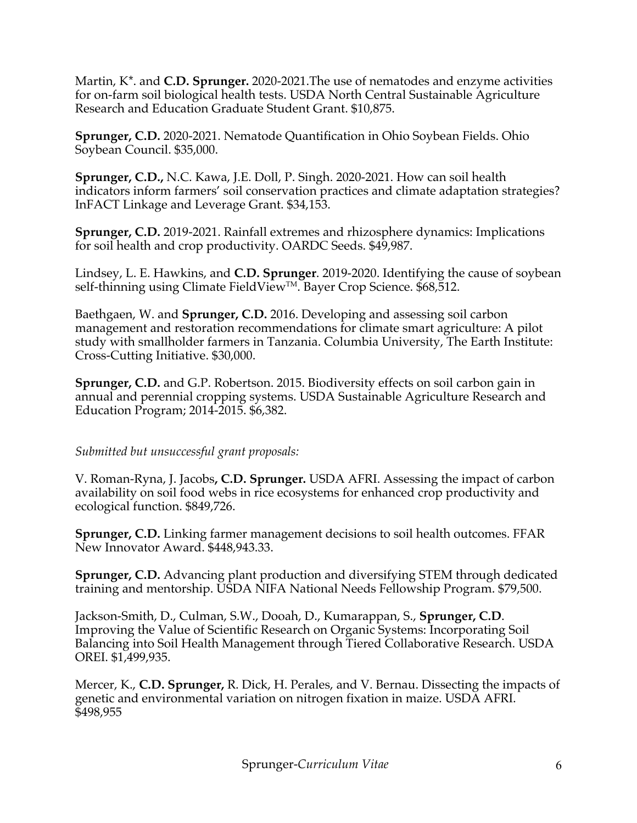Martin, K\*. and **C.D. Sprunger.** 2020-2021.The use of nematodes and enzyme activities for on-farm soil biological health tests. USDA North Central Sustainable Agriculture Research and Education Graduate Student Grant. \$10,875.

**Sprunger, C.D.** 2020-2021. Nematode Quantification in Ohio Soybean Fields. Ohio Soybean Council. \$35,000.

**Sprunger, C.D.,** N.C. Kawa, J.E. Doll, P. Singh. 2020-2021. How can soil health indicators inform farmers' soil conservation practices and climate adaptation strategies? InFACT Linkage and Leverage Grant. \$34,153.

**Sprunger, C.D.** 2019-2021. Rainfall extremes and rhizosphere dynamics: Implications for soil health and crop productivity. OARDC Seeds. \$49,987.

Lindsey, L. E. Hawkins, and **C.D. Sprunger**. 2019-2020. Identifying the cause of soybean self-thinning using Climate FieldView™. Bayer Crop Science. \$68,512.

Baethgaen, W. and **Sprunger, C.D.** 2016. Developing and assessing soil carbon management and restoration recommendations for climate smart agriculture: A pilot study with smallholder farmers in Tanzania. Columbia University, The Earth Institute: Cross-Cutting Initiative. \$30,000.

**Sprunger, C.D.** and G.P. Robertson. 2015. Biodiversity effects on soil carbon gain in annual and perennial cropping systems. USDA Sustainable Agriculture Research and Education Program; 2014-2015. \$6,382.

#### *Submitted but unsuccessful grant proposals:*

V. Roman-Ryna, J. Jacobs**, C.D. Sprunger.** USDA AFRI. Assessing the impact of carbon availability on soil food webs in rice ecosystems for enhanced crop productivity and ecological function. \$849,726.

**Sprunger, C.D.** Linking farmer management decisions to soil health outcomes. FFAR New Innovator Award. \$448,943.33.

**Sprunger, C.D.** Advancing plant production and diversifying STEM through dedicated training and mentorship. USDA NIFA National Needs Fellowship Program. \$79,500.

Jackson-Smith, D., Culman, S.W., Dooah, D., Kumarappan, S., **Sprunger, C.D**. Improving the Value of Scientific Research on Organic Systems: Incorporating Soil Balancing into Soil Health Management through Tiered Collaborative Research. USDA OREI. \$1,499,935.

Mercer, K., **C.D. Sprunger,** R. Dick, H. Perales, and V. Bernau. Dissecting the impacts of genetic and environmental variation on nitrogen fixation in maize. USDA AFRI. \$498,955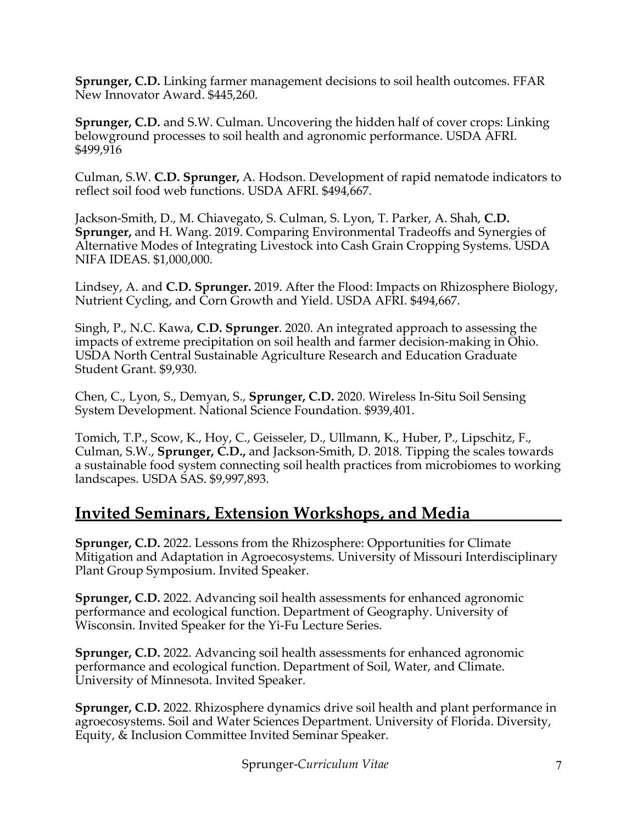**Sprunger, C.D.** Linking farmer management decisions to soil health outcomes. FFAR New Innovator Award. \$445,260.

**Sprunger, C.D.** and S.W. Culman. Uncovering the hidden half of cover crops: Linking belowground processes to soil health and agronomic performance. USDA AFRI. \$499,916

Culman, S.W. **C.D. Sprunger,** A. Hodson. Development of rapid nematode indicators to reflect soil food web functions. USDA AFRI. \$494,667.

Jackson-Smith, D., M. Chiavegato, S. Culman, S. Lyon, T. Parker, A. Shah, **C.D. Sprunger,** and H. Wang. 2019. Comparing Environmental Tradeoffs and Synergies of Alternative Modes of Integrating Livestock into Cash Grain Cropping Systems. USDA NIFA IDEAS. \$1,000,000.

Lindsey, A. and **C.D. Sprunger.** 2019. After the Flood: Impacts on Rhizosphere Biology, Nutrient Cycling, and Corn Growth and Yield. USDA AFRI. \$494,667.

Singh, P., N.C. Kawa, **C.D. Sprunger**. 2020. An integrated approach to assessing the impacts of extreme precipitation on soil health and farmer decision-making in Ohio. USDA North Central Sustainable Agriculture Research and Education Graduate Student Grant. \$9,930.

Chen, C., Lyon, S., Demyan, S., **Sprunger, C.D.** 2020. Wireless In-Situ Soil Sensing System Development. National Science Foundation. \$939,401.

Tomich, T.P., Scow, K., Hoy, C., Geisseler, D., Ullmann, K., Huber, P., Lipschitz, F., Culman, S.W., **Sprunger, C.D.,** and Jackson-Smith, D. 2018. Tipping the scales towards a sustainable food system connecting soil health practices from microbiomes to working landscapes. USDA SAS. \$9,997,893.

## **Invited Seminars, Extension Workshops, and Media**

**Sprunger, C.D.** 2022. Lessons from the Rhizosphere: Opportunities for Climate Mitigation and Adaptation in Agroecosystems. University of Missouri Interdisciplinary Plant Group Symposium. Invited Speaker.

**Sprunger, C.D.** 2022. Advancing soil health assessments for enhanced agronomic performance and ecological function. Department of Geography. University of Wisconsin. Invited Speaker for the Yi-Fu Lecture Series.

**Sprunger, C.D.** 2022. Advancing soil health assessments for enhanced agronomic performance and ecological function. Department of Soil, Water, and Climate. University of Minnesota. Invited Speaker.

**Sprunger, C.D.** 2022. Rhizosphere dynamics drive soil health and plant performance in agroecosystems. Soil and Water Sciences Department. University of Florida. Diversity, Equity, & Inclusion Committee Invited Seminar Speaker.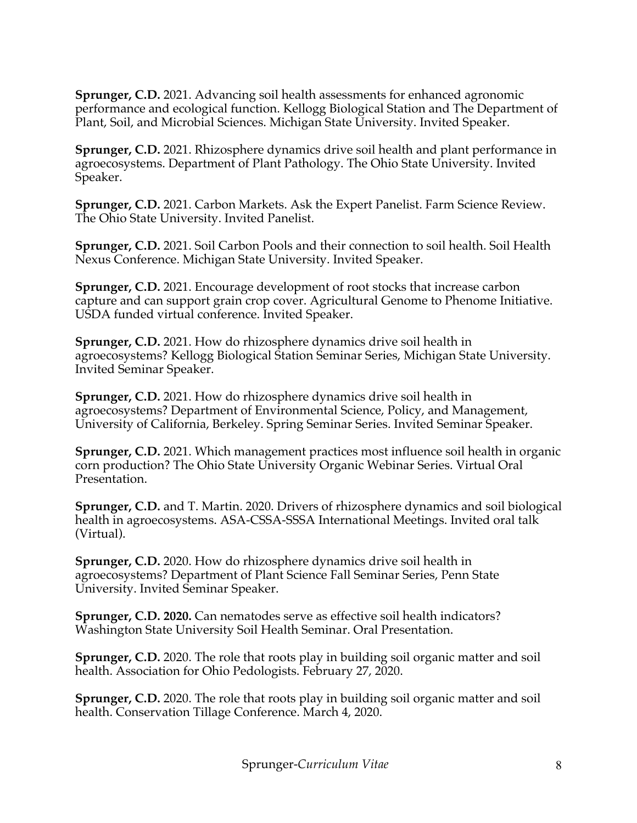**Sprunger, C.D.** 2021. Advancing soil health assessments for enhanced agronomic performance and ecological function. Kellogg Biological Station and The Department of Plant, Soil, and Microbial Sciences. Michigan State University. Invited Speaker.

**Sprunger, C.D.** 2021. Rhizosphere dynamics drive soil health and plant performance in agroecosystems. Department of Plant Pathology. The Ohio State University. Invited Speaker.

**Sprunger, C.D.** 2021. Carbon Markets. Ask the Expert Panelist. Farm Science Review. The Ohio State University. Invited Panelist.

**Sprunger, C.D.** 2021. Soil Carbon Pools and their connection to soil health. Soil Health Nexus Conference. Michigan State University. Invited Speaker.

**Sprunger, C.D.** 2021. Encourage development of root stocks that increase carbon capture and can support grain crop cover. Agricultural Genome to Phenome Initiative. USDA funded virtual conference. Invited Speaker.

**Sprunger, C.D.** 2021. How do rhizosphere dynamics drive soil health in agroecosystems? Kellogg Biological Station Seminar Series, Michigan State University. Invited Seminar Speaker.

**Sprunger, C.D.** 2021. How do rhizosphere dynamics drive soil health in agroecosystems? Department of Environmental Science, Policy, and Management, University of California, Berkeley. Spring Seminar Series. Invited Seminar Speaker.

**Sprunger, C.D.** 2021. Which management practices most influence soil health in organic corn production? The Ohio State University Organic Webinar Series. Virtual Oral Presentation.

**Sprunger, C.D.** and T. Martin. 2020. Drivers of rhizosphere dynamics and soil biological health in agroecosystems. ASA-CSSA-SSSA International Meetings. Invited oral talk (Virtual).

**Sprunger, C.D.** 2020. How do rhizosphere dynamics drive soil health in agroecosystems? Department of Plant Science Fall Seminar Series, Penn State University. Invited Seminar Speaker.

**Sprunger, C.D. 2020.** Can nematodes serve as effective soil health indicators? Washington State University Soil Health Seminar. Oral Presentation.

**Sprunger, C.D.** 2020. The role that roots play in building soil organic matter and soil health. Association for Ohio Pedologists. February 27, 2020.

**Sprunger, C.D.** 2020. The role that roots play in building soil organic matter and soil health. Conservation Tillage Conference. March 4, 2020.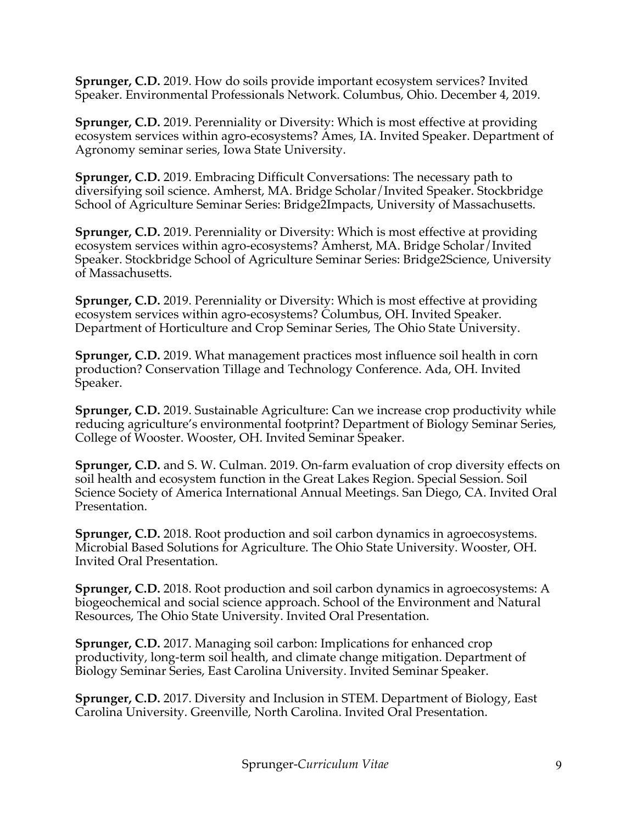**Sprunger, C.D.** 2019. How do soils provide important ecosystem services? Invited Speaker. Environmental Professionals Network. Columbus, Ohio. December 4, 2019.

**Sprunger, C.D.** 2019. Perenniality or Diversity: Which is most effective at providing ecosystem services within agro-ecosystems? Ames, IA. Invited Speaker. Department of Agronomy seminar series, Iowa State University.

**Sprunger, C.D.** 2019. Embracing Difficult Conversations: The necessary path to diversifying soil science. Amherst, MA. Bridge Scholar/Invited Speaker. Stockbridge School of Agriculture Seminar Series: Bridge2Impacts, University of Massachusetts.

**Sprunger, C.D.** 2019. Perenniality or Diversity: Which is most effective at providing ecosystem services within agro-ecosystems? Amherst, MA. Bridge Scholar/Invited Speaker. Stockbridge School of Agriculture Seminar Series: Bridge2Science, University of Massachusetts.

**Sprunger, C.D.** 2019. Perenniality or Diversity: Which is most effective at providing ecosystem services within agro-ecosystems? Columbus, OH. Invited Speaker. Department of Horticulture and Crop Seminar Series, The Ohio State University.

**Sprunger, C.D.** 2019. What management practices most influence soil health in corn production? Conservation Tillage and Technology Conference. Ada, OH. Invited Speaker.

**Sprunger, C.D.** 2019. Sustainable Agriculture: Can we increase crop productivity while reducing agriculture's environmental footprint? Department of Biology Seminar Series, College of Wooster. Wooster, OH. Invited Seminar Speaker.

**Sprunger, C.D.** and S. W. Culman. 2019. On-farm evaluation of crop diversity effects on soil health and ecosystem function in the Great Lakes Region. Special Session. Soil Science Society of America International Annual Meetings. San Diego, CA. Invited Oral Presentation.

**Sprunger, C.D.** 2018. Root production and soil carbon dynamics in agroecosystems. Microbial Based Solutions for Agriculture. The Ohio State University. Wooster, OH. Invited Oral Presentation.

**Sprunger, C.D.** 2018. Root production and soil carbon dynamics in agroecosystems: A biogeochemical and social science approach. School of the Environment and Natural Resources, The Ohio State University. Invited Oral Presentation.

**Sprunger, C.D.** 2017. Managing soil carbon: Implications for enhanced crop productivity, long-term soil health, and climate change mitigation. Department of Biology Seminar Series, East Carolina University. Invited Seminar Speaker.

**Sprunger, C.D.** 2017. Diversity and Inclusion in STEM. Department of Biology, East Carolina University. Greenville, North Carolina. Invited Oral Presentation.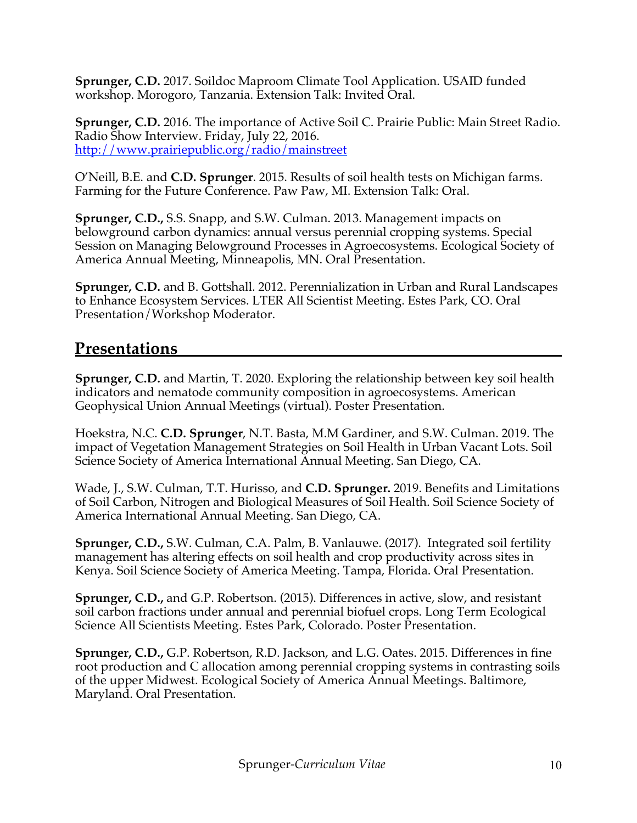**Sprunger, C.D.** 2017. Soildoc Maproom Climate Tool Application. USAID funded workshop. Morogoro, Tanzania. Extension Talk: Invited Oral.

**Sprunger, C.D.** 2016. The importance of Active Soil C. Prairie Public: Main Street Radio. Radio Show Interview. Friday, July 22, 2016. http://www.prairiepublic.org/radio/mainstreet

O'Neill, B.E. and **C.D. Sprunger**. 2015. Results of soil health tests on Michigan farms. Farming for the Future Conference. Paw Paw, MI. Extension Talk: Oral.

**Sprunger, C.D.,** S.S. Snapp, and S.W. Culman. 2013. Management impacts on belowground carbon dynamics: annual versus perennial cropping systems. Special Session on Managing Belowground Processes in Agroecosystems. Ecological Society of America Annual Meeting, Minneapolis, MN. Oral Presentation.

**Sprunger, C.D.** and B. Gottshall. 2012. Perennialization in Urban and Rural Landscapes to Enhance Ecosystem Services. LTER All Scientist Meeting. Estes Park, CO. Oral Presentation/Workshop Moderator.

### **Presentations**

**Sprunger, C.D.** and Martin, T. 2020. Exploring the relationship between key soil health indicators and nematode community composition in agroecosystems. American Geophysical Union Annual Meetings (virtual). Poster Presentation.

Hoekstra, N.C. **C.D. Sprunger**, N.T. Basta, M.M Gardiner, and S.W. Culman. 2019. The impact of Vegetation Management Strategies on Soil Health in Urban Vacant Lots. Soil Science Society of America International Annual Meeting. San Diego, CA.

Wade, J., S.W. Culman, T.T. Hurisso, and **C.D. Sprunger.** 2019. Benefits and Limitations of Soil Carbon, Nitrogen and Biological Measures of Soil Health. Soil Science Society of America International Annual Meeting. San Diego, CA.

**Sprunger, C.D.,** S.W. Culman, C.A. Palm, B. Vanlauwe. (2017). Integrated soil fertility management has altering effects on soil health and crop productivity across sites in Kenya. Soil Science Society of America Meeting. Tampa, Florida. Oral Presentation.

**Sprunger, C.D.,** and G.P. Robertson. (2015). Differences in active, slow, and resistant soil carbon fractions under annual and perennial biofuel crops. Long Term Ecological Science All Scientists Meeting. Estes Park, Colorado. Poster Presentation.

**Sprunger, C.D.,** G.P. Robertson, R.D. Jackson, and L.G. Oates. 2015. Differences in fine root production and C allocation among perennial cropping systems in contrasting soils of the upper Midwest. Ecological Society of America Annual Meetings. Baltimore, Maryland. Oral Presentation.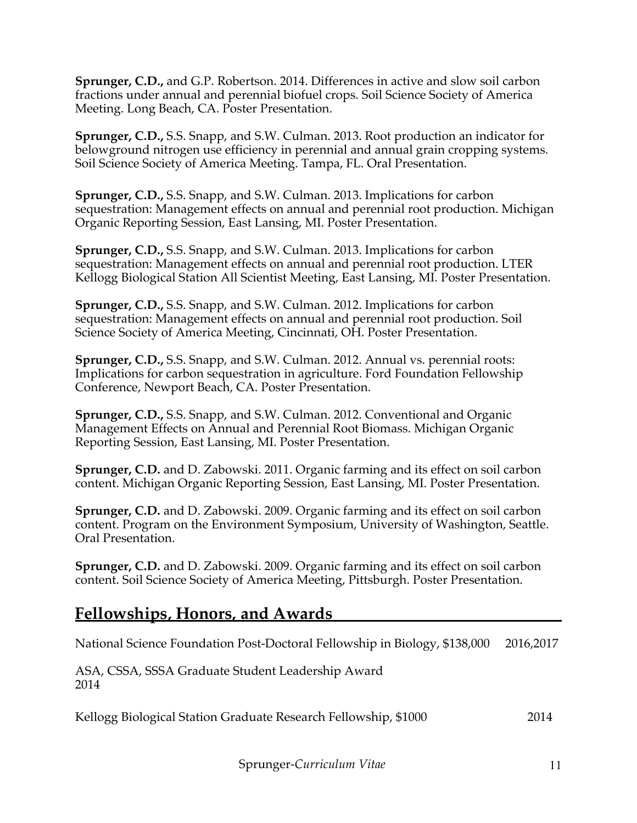**Sprunger, C.D.,** and G.P. Robertson. 2014. Differences in active and slow soil carbon fractions under annual and perennial biofuel crops. Soil Science Society of America Meeting. Long Beach, CA. Poster Presentation.

**Sprunger, C.D.,** S.S. Snapp, and S.W. Culman. 2013. Root production an indicator for belowground nitrogen use efficiency in perennial and annual grain cropping systems. Soil Science Society of America Meeting. Tampa, FL. Oral Presentation.

**Sprunger, C.D.,** S.S. Snapp, and S.W. Culman. 2013. Implications for carbon sequestration: Management effects on annual and perennial root production. Michigan Organic Reporting Session, East Lansing, MI. Poster Presentation.

**Sprunger, C.D.,** S.S. Snapp, and S.W. Culman. 2013. Implications for carbon sequestration: Management effects on annual and perennial root production. LTER Kellogg Biological Station All Scientist Meeting, East Lansing, MI. Poster Presentation.

**Sprunger, C.D.,** S.S. Snapp, and S.W. Culman. 2012. Implications for carbon sequestration: Management effects on annual and perennial root production. Soil Science Society of America Meeting, Cincinnati, OH. Poster Presentation.

**Sprunger, C.D.,** S.S. Snapp, and S.W. Culman. 2012. Annual vs. perennial roots: Implications for carbon sequestration in agriculture. Ford Foundation Fellowship Conference, Newport Beach, CA. Poster Presentation.

**Sprunger, C.D.,** S.S. Snapp, and S.W. Culman. 2012. Conventional and Organic Management Effects on Annual and Perennial Root Biomass. Michigan Organic Reporting Session, East Lansing, MI. Poster Presentation.

**Sprunger, C.D.** and D. Zabowski. 2011. Organic farming and its effect on soil carbon content. Michigan Organic Reporting Session, East Lansing, MI. Poster Presentation.

**Sprunger, C.D.** and D. Zabowski. 2009. Organic farming and its effect on soil carbon content. Program on the Environment Symposium, University of Washington, Seattle. Oral Presentation.

**Sprunger, C.D.** and D. Zabowski. 2009. Organic farming and its effect on soil carbon content. Soil Science Society of America Meeting, Pittsburgh. Poster Presentation.

### **Fellowships, Honors, and Awards**

National Science Foundation Post-Doctoral Fellowship in Biology, \$138,000 2016,2017

ASA, CSSA, SSSA Graduate Student Leadership Award 2014

Kellogg Biological Station Graduate Research Fellowship, \$1000 2014

Sprunger-*Curriculum Vitae* 11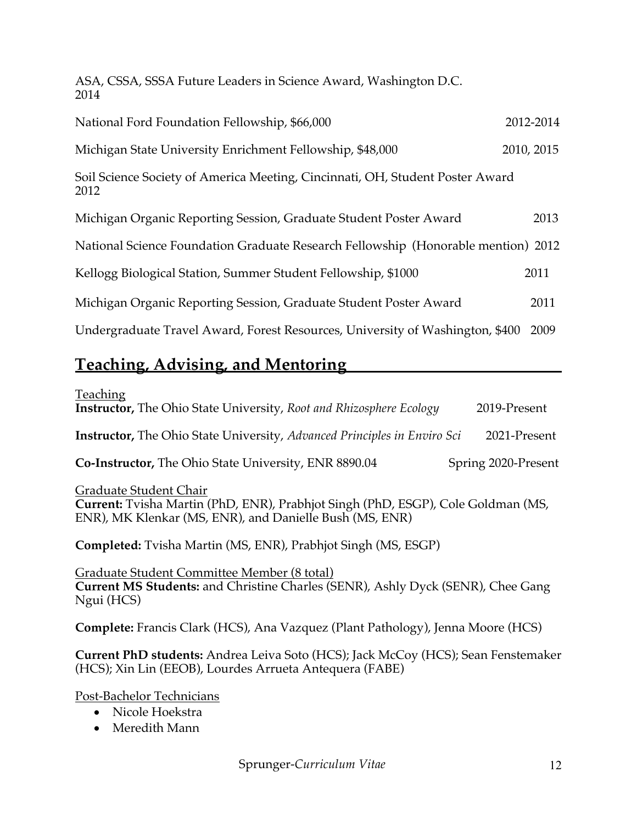ASA, CSSA, SSSA Future Leaders in Science Award, Washington D.C. 2014

| National Ford Foundation Fellowship, \$66,000                                         | 2012-2014  |
|---------------------------------------------------------------------------------------|------------|
| Michigan State University Enrichment Fellowship, \$48,000                             | 2010, 2015 |
| Soil Science Society of America Meeting, Cincinnati, OH, Student Poster Award<br>2012 |            |
| Michigan Organic Reporting Session, Graduate Student Poster Award                     | 2013       |
| National Science Foundation Graduate Research Fellowship (Honorable mention) 2012     |            |
| Kellogg Biological Station, Summer Student Fellowship, \$1000                         | 2011       |
| Michigan Organic Reporting Session, Graduate Student Poster Award                     | 2011       |
| Undergraduate Travel Award, Forest Resources, University of Washington, \$400         | 2009       |

## **Teaching, Advising, and Mentoring**

| <b>Teaching</b><br><b>Instructor,</b> The Ohio State University, Root and Rhizosphere Ecology                                                                         | 2019-Present        |
|-----------------------------------------------------------------------------------------------------------------------------------------------------------------------|---------------------|
| <b>Instructor,</b> The Ohio State University, Advanced Principles in Enviro Sci                                                                                       | 2021-Present        |
| <b>Co-Instructor, The Ohio State University, ENR 8890.04</b>                                                                                                          | Spring 2020-Present |
| Graduate Student Chair<br>Current: Tvisha Martin (PhD, ENR), Prabhjot Singh (PhD, ESGP), Cole Goldman (MS,<br>ENR), MK Klenkar (MS, ENR), and Danielle Bush (MS, ENR) |                     |
| <b>Completed:</b> Tvisha Martin (MS, ENR), Prabhjot Singh (MS, ESGP)                                                                                                  |                     |
| Graduate Student Committee Member (8 total)<br>Current MS Students: and Christine Charles (SENR), Ashly Dyck (SENR), Chee Gang<br>Ngui (HCS)                          |                     |
| Complete: Francis Clark (HCS), Ana Vazquez (Plant Pathology), Jenna Moore (HCS)                                                                                       |                     |

**Current PhD students:** Andrea Leiva Soto (HCS); Jack McCoy (HCS); Sean Fenstemaker (HCS); Xin Lin (EEOB), Lourdes Arrueta Antequera (FABE)

Post-Bachelor Technicians

- Nicole Hoekstra
- Meredith Mann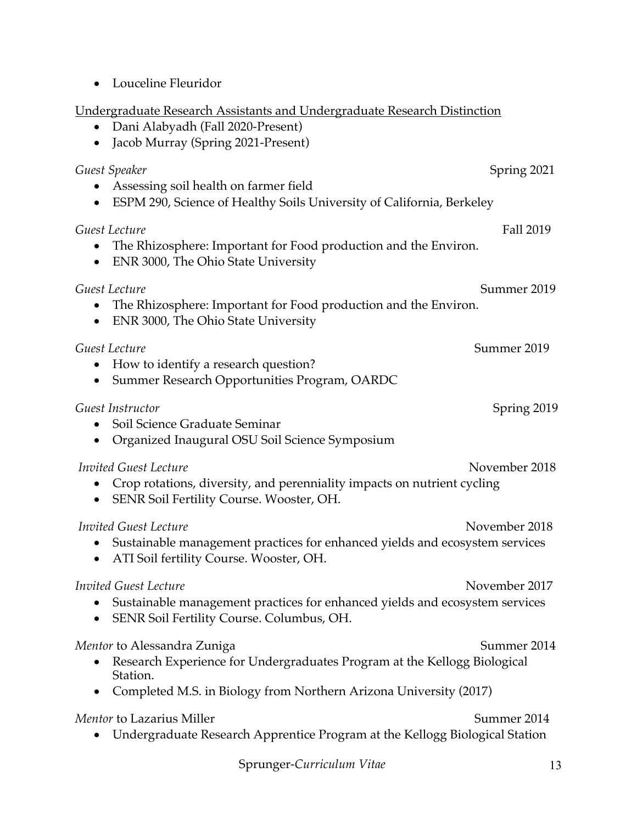| <u>Undergraduate Research Assistants and Undergraduate Research Distinction</u><br>Dani Alabyadh (Fall 2020-Present)<br>Jacob Murray (Spring 2021-Present)<br>$\bullet$                                 |
|---------------------------------------------------------------------------------------------------------------------------------------------------------------------------------------------------------|
| Guest Speaker<br>Spring 2021<br>Assessing soil health on farmer field<br>ESPM 290, Science of Healthy Soils University of California, Berkeley<br>٠                                                     |
| <b>Fall 2019</b><br>Guest Lecture<br>The Rhizosphere: Important for Food production and the Environ.<br>ENR 3000, The Ohio State University<br>٠                                                        |
| Summer 2019<br>Guest Lecture<br>The Rhizosphere: Important for Food production and the Environ.<br>$\bullet$<br>ENR 3000, The Ohio State University<br>$\bullet$                                        |
| Summer 2019<br>Guest Lecture<br>How to identify a research question?<br>$\bullet$<br>Summer Research Opportunities Program, OARDC                                                                       |
| Guest Instructor<br>Spring 2019<br>Soil Science Graduate Seminar<br>Organized Inaugural OSU Soil Science Symposium<br>$\bullet$                                                                         |
| November 2018<br>Invited Guest Lecture<br>Crop rotations, diversity, and perenniality impacts on nutrient cycling<br>SENR Soil Fertility Course. Wooster, OH.                                           |
| <b>Invited Guest Lecture</b><br>November 2018<br>Sustainable management practices for enhanced yields and ecosystem services<br>ATI Soil fertility Course. Wooster, OH.                                 |
| <b>Invited Guest Lecture</b><br>November 2017<br>Sustainable management practices for enhanced yields and ecosystem services<br>SENR Soil Fertility Course. Columbus, OH.                               |
| Summer 2014<br>Mentor to Alessandra Zuniga<br>Research Experience for Undergraduates Program at the Kellogg Biological<br>Station.<br>Completed M.S. in Biology from Northern Arizona University (2017) |
| Mentor to Lazarius Miller<br>Summer 2014<br>Undergraduate Research Apprentice Program at the Kellogg Biological Station                                                                                 |

• Louceline Fleuridor

Sprunger-*Curriculum Vitae* 13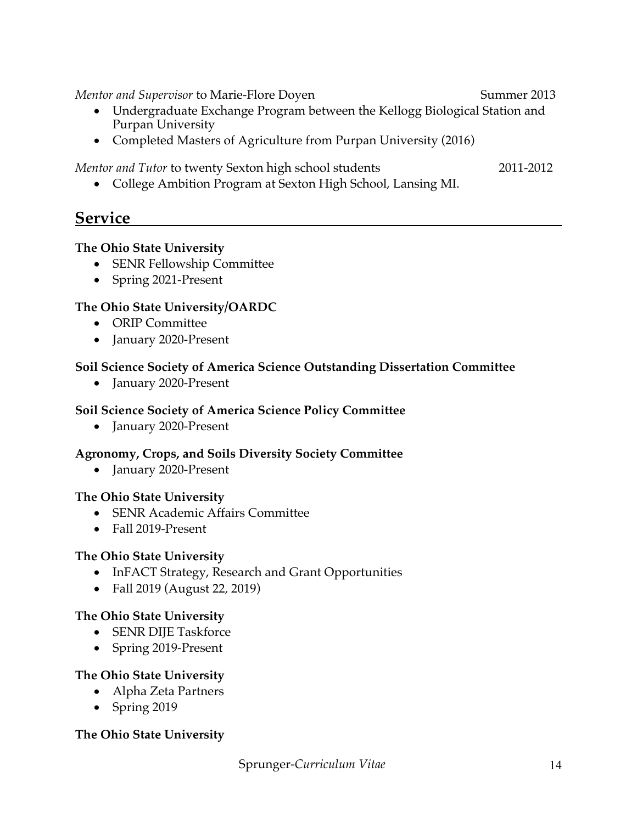*Mentor and Supervisor* to Marie-Flore Doyen Summer 2013

- Undergraduate Exchange Program between the Kellogg Biological Station and Purpan University
- Completed Masters of Agriculture from Purpan University (2016)

*Mentor and Tutor* to twenty Sexton high school students 2011-2012

• College Ambition Program at Sexton High School, Lansing MI.

### **Service**

#### **The Ohio State University**

- SENR Fellowship Committee
- Spring 2021-Present

### **The Ohio State University/OARDC**

- ORIP Committee
- January 2020-Present

### **Soil Science Society of America Science Outstanding Dissertation Committee**

• January 2020-Present

### **Soil Science Society of America Science Policy Committee**

• January 2020-Present

### **Agronomy, Crops, and Soils Diversity Society Committee**

• January 2020-Present

#### **The Ohio State University**

- SENR Academic Affairs Committee
- Fall 2019-Present

#### **The Ohio State University**

- InFACT Strategy, Research and Grant Opportunities
- Fall 2019 (August 22, 2019)

### **The Ohio State University**

- SENR DIJE Taskforce
- Spring 2019-Present

### **The Ohio State University**

- Alpha Zeta Partners
- Spring 2019

#### **The Ohio State University**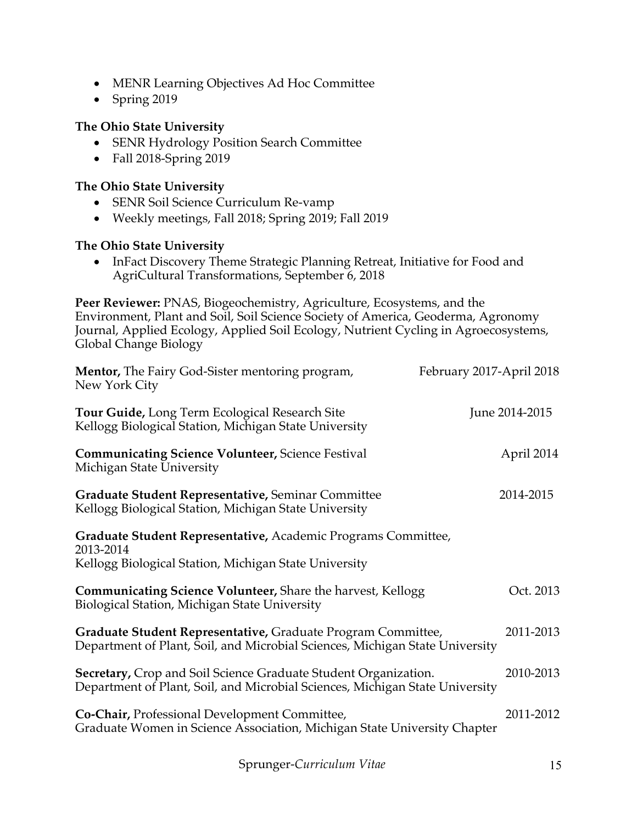- MENR Learning Objectives Ad Hoc Committee
- Spring 2019

### **The Ohio State University**

- SENR Hydrology Position Search Committee
- Fall 2018-Spring 2019

#### **The Ohio State University**

- SENR Soil Science Curriculum Re-vamp
- Weekly meetings, Fall 2018; Spring 2019; Fall 2019

#### **The Ohio State University**

• InFact Discovery Theme Strategic Planning Retreat, Initiative for Food and AgriCultural Transformations, September 6, 2018

**Peer Reviewer:** PNAS, Biogeochemistry, Agriculture, Ecosystems, and the Environment, Plant and Soil, Soil Science Society of America, Geoderma, Agronomy Journal, Applied Ecology, Applied Soil Ecology, Nutrient Cycling in Agroecosystems, Global Change Biology

| <b>Mentor,</b> The Fairy God-Sister mentoring program,<br>New York City                                                                                | February 2017-April 2018 |
|--------------------------------------------------------------------------------------------------------------------------------------------------------|--------------------------|
| <b>Tour Guide, Long Term Ecological Research Site</b><br>Kellogg Biological Station, Michigan State University                                         | June 2014-2015           |
| <b>Communicating Science Volunteer, Science Festival</b><br>Michigan State University                                                                  | April 2014               |
| Graduate Student Representative, Seminar Committee<br>Kellogg Biological Station, Michigan State University                                            | 2014-2015                |
| Graduate Student Representative, Academic Programs Committee,<br>2013-2014<br>Kellogg Biological Station, Michigan State University                    |                          |
| <b>Communicating Science Volunteer, Share the harvest, Kellogg</b><br>Biological Station, Michigan State University                                    | Oct. 2013                |
| Graduate Student Representative, Graduate Program Committee,<br>Department of Plant, Soil, and Microbial Sciences, Michigan State University           | 2011-2013                |
| <b>Secretary, Crop and Soil Science Graduate Student Organization.</b><br>Department of Plant, Soil, and Microbial Sciences, Michigan State University | 2010-2013                |
| Co-Chair, Professional Development Committee,<br>Graduate Women in Science Association, Michigan State University Chapter                              | 2011-2012                |
|                                                                                                                                                        |                          |

Sprunger-*Curriculum Vitae* 15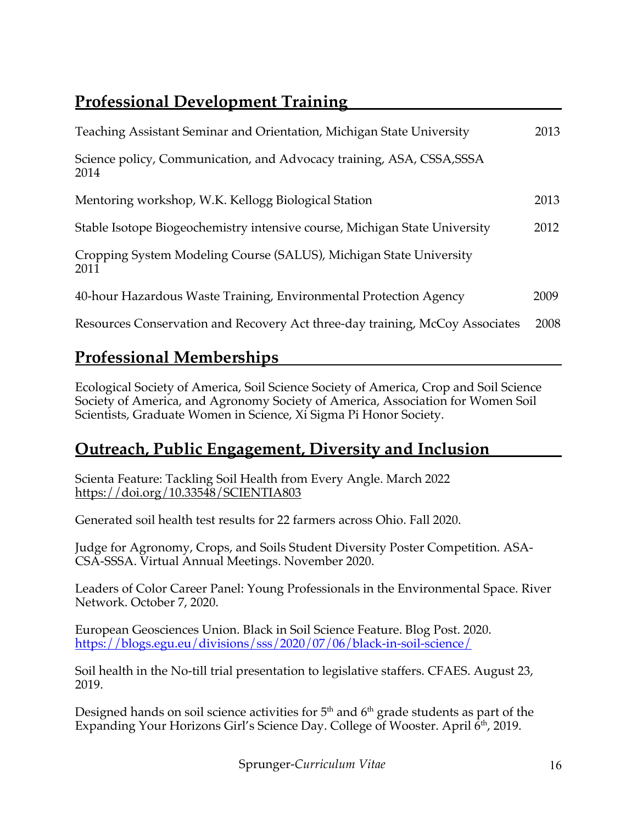# **Professional Development Training**

| Teaching Assistant Seminar and Orientation, Michigan State University         | 2013 |
|-------------------------------------------------------------------------------|------|
| Science policy, Communication, and Advocacy training, ASA, CSSA, SSSA<br>2014 |      |
| Mentoring workshop, W.K. Kellogg Biological Station                           | 2013 |
| Stable Isotope Biogeochemistry intensive course, Michigan State University    | 2012 |
| Cropping System Modeling Course (SALUS), Michigan State University<br>2011    |      |
| 40-hour Hazardous Waste Training, Environmental Protection Agency             | 2009 |
| Resources Conservation and Recovery Act three-day training, McCoy Associates  | 2008 |

## **Professional Memberships**

Ecological Society of America, Soil Science Society of America, Crop and Soil Science Society of America, and Agronomy Society of America, Association for Women Soil Scientists, Graduate Women in Science, Xi Sigma Pi Honor Society.

## **Outreach, Public Engagement, Diversity and Inclusion**

Scienta Feature: Tackling Soil Health from Every Angle. March 2022 https://doi.org/10.33548/SCIENTIA803

Generated soil health test results for 22 farmers across Ohio. Fall 2020.

Judge for Agronomy, Crops, and Soils Student Diversity Poster Competition. ASA-CSA-SSSA. Virtual Annual Meetings. November 2020.

Leaders of Color Career Panel: Young Professionals in the Environmental Space. River Network. October 7, 2020.

European Geosciences Union. Black in Soil Science Feature. Blog Post. 2020. https://blogs.egu.eu/divisions/sss/2020/07/06/black-in-soil-science/

Soil health in the No-till trial presentation to legislative staffers. CFAES. August 23, 2019.

Designed hands on soil science activities for  $5<sup>th</sup>$  and  $6<sup>th</sup>$  grade students as part of the Expanding Your Horizons Girl's Science Day. College of Wooster. April 6<sup>th</sup>, 2019.